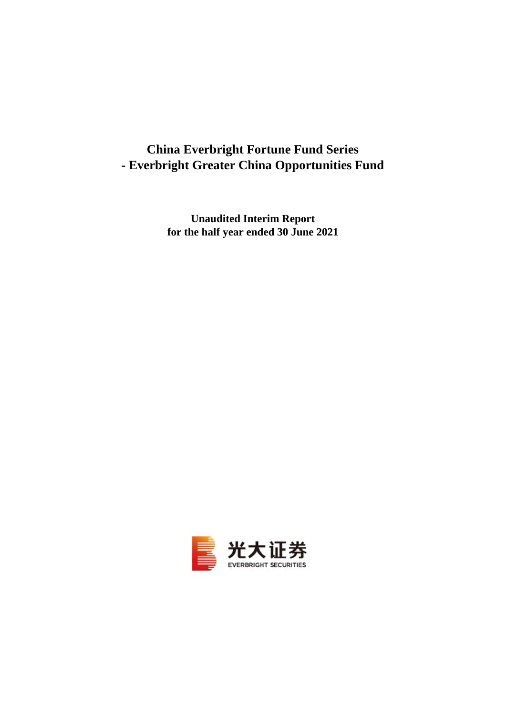# **China Everbright Fortune Fund Series - Everbright Greater China Opportunities Fund**

**Unaudited Interim Report for the half year ended 30 June 2021**

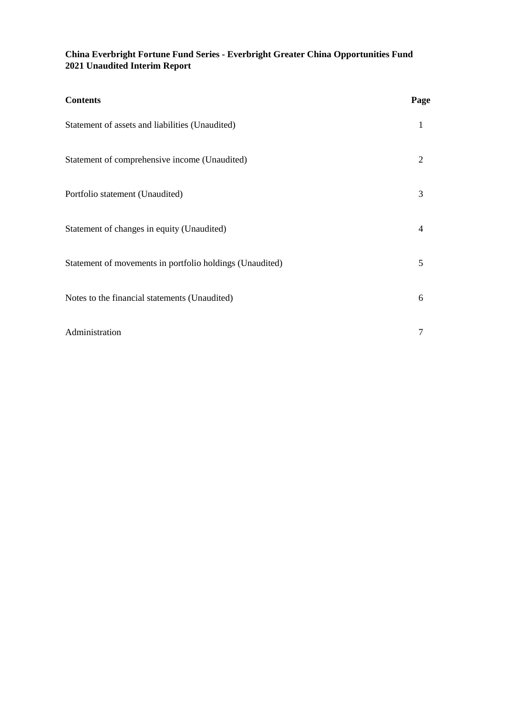## **China Everbright Fortune Fund Series - Everbright Greater China Opportunities Fund 2021 Unaudited Interim Report**

| <b>Contents</b>                                          | Page           |
|----------------------------------------------------------|----------------|
| Statement of assets and liabilities (Unaudited)          | 1              |
| Statement of comprehensive income (Unaudited)            | 2              |
| Portfolio statement (Unaudited)                          | 3              |
| Statement of changes in equity (Unaudited)               | $\overline{4}$ |
| Statement of movements in portfolio holdings (Unaudited) | 5              |
| Notes to the financial statements (Unaudited)            | 6              |
| Administration                                           | 7              |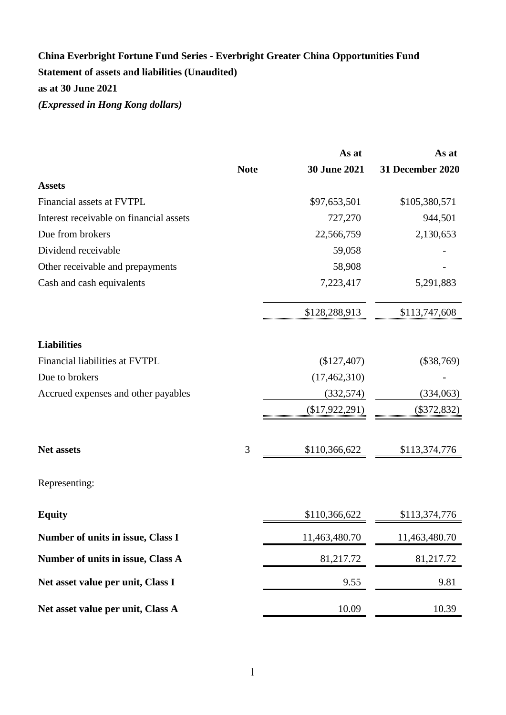## **China Everbright Fortune Fund Series - Everbright Greater China Opportunities Fund Statement of assets and liabilities (Unaudited) as at 30 June 2021** *(Expressed in Hong Kong dollars)*

|                                         |             | As at               | As at                   |
|-----------------------------------------|-------------|---------------------|-------------------------|
|                                         | <b>Note</b> | <b>30 June 2021</b> | <b>31 December 2020</b> |
| <b>Assets</b>                           |             |                     |                         |
| Financial assets at FVTPL               |             | \$97,653,501        | \$105,380,571           |
| Interest receivable on financial assets |             | 727,270             | 944,501                 |
| Due from brokers                        |             | 22,566,759          | 2,130,653               |
| Dividend receivable                     |             | 59,058              |                         |
| Other receivable and prepayments        |             | 58,908              |                         |
| Cash and cash equivalents               |             | 7,223,417           | 5,291,883               |
|                                         |             | \$128,288,913       | \$113,747,608           |
| <b>Liabilities</b>                      |             |                     |                         |
| Financial liabilities at FVTPL          |             | $(\$127,407)$       | $(\$38,769)$            |
| Due to brokers                          |             | (17, 462, 310)      |                         |
| Accrued expenses and other payables     |             | (332, 574)          | (334,063)               |
|                                         |             | $(\$17,922,291)$    | (\$372,832)             |
| <b>Net assets</b>                       | 3           | \$110,366,622       | \$113,374,776           |
| Representing:                           |             |                     |                         |
| <b>Equity</b>                           |             | \$110,366,622       | \$113,374,776           |
| Number of units in issue, Class I       |             | 11,463,480.70       | 11,463,480.70           |
| Number of units in issue, Class A       |             | 81,217.72           | 81,217.72               |
| Net asset value per unit, Class I       |             | 9.55                | 9.81                    |
| Net asset value per unit, Class A       |             | 10.09               | 10.39                   |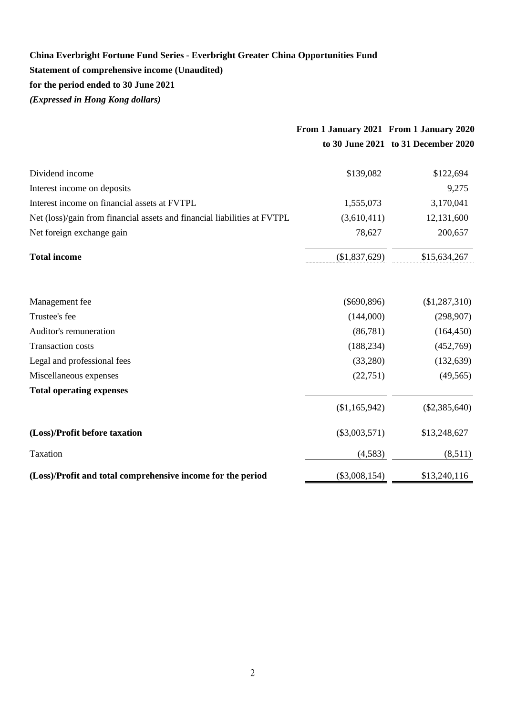## **China Everbright Fortune Fund Series - Everbright Greater China Opportunities Fund Statement of comprehensive income (Unaudited) for the period ended to 30 June 2021** *(Expressed in Hong Kong dollars)*

|                                                                          | From 1 January 2021 From 1 January 2020 |                                     |
|--------------------------------------------------------------------------|-----------------------------------------|-------------------------------------|
|                                                                          |                                         | to 30 June 2021 to 31 December 2020 |
| Dividend income                                                          | \$139,082                               | \$122,694                           |
| Interest income on deposits                                              |                                         | 9,275                               |
| Interest income on financial assets at FVTPL                             | 1,555,073                               | 3,170,041                           |
| Net (loss)/gain from financial assets and financial liabilities at FVTPL | (3,610,411)                             | 12,131,600                          |
| Net foreign exchange gain                                                | 78,627                                  | 200,657                             |
| <b>Total income</b>                                                      | (\$1,837,629)                           | \$15,634,267                        |
| Management fee                                                           | $(\$690,896)$                           | $(\$1,287,310)$                     |
| Trustee's fee                                                            | (144,000)                               | (298, 907)                          |
| Auditor's remuneration                                                   | (86,781)                                | (164, 450)                          |
| <b>Transaction costs</b>                                                 | (188, 234)                              | (452,769)                           |
| Legal and professional fees                                              | (33,280)                                | (132, 639)                          |
| Miscellaneous expenses                                                   | (22, 751)                               | (49, 565)                           |
| <b>Total operating expenses</b>                                          |                                         |                                     |
|                                                                          | (\$1,165,942)                           | $(\$2,385,640)$                     |
| (Loss)/Profit before taxation                                            | $(\$3,003,571)$                         | \$13,248,627                        |
| Taxation                                                                 | (4,583)                                 | (8,511)                             |
| (Loss)/Profit and total comprehensive income for the period              | $(\$3,008,154)$                         | \$13,240,116                        |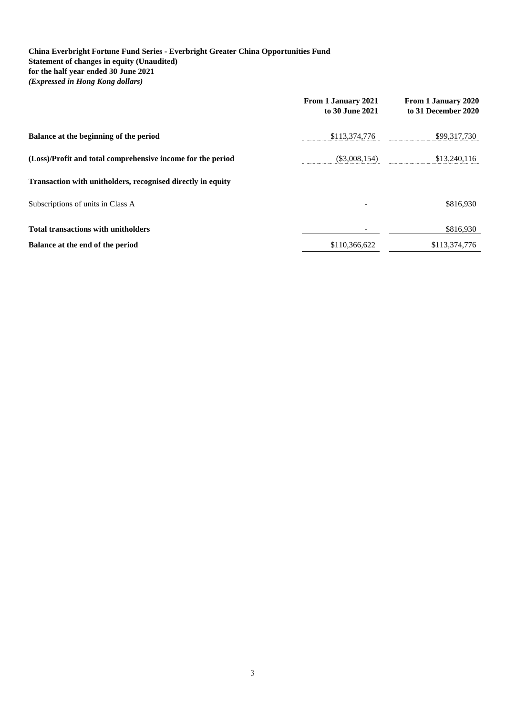#### **China Everbright Fortune Fund Series - Everbright Greater China Opportunities Fund Statement of changes in equity (Unaudited) for the half year ended 30 June 2021** *(Expressed in Hong Kong dollars)*

|                                                             | From 1 January 2021<br>to 30 June 2021 | From 1 January 2020<br>to 31 December 2020 |
|-------------------------------------------------------------|----------------------------------------|--------------------------------------------|
| Balance at the beginning of the period                      | \$113,374,776                          | \$99,317,730                               |
| (Loss)/Profit and total comprehensive income for the period | $(\$3,008,154)$                        | \$13,240,116                               |
| Transaction with unitholders, recognised directly in equity |                                        |                                            |
| Subscriptions of units in Class A                           |                                        | \$816.930                                  |
| <b>Total transactions with unitholders</b>                  |                                        | \$816,930                                  |
| Balance at the end of the period                            | \$110,366,622                          | \$113,374,776                              |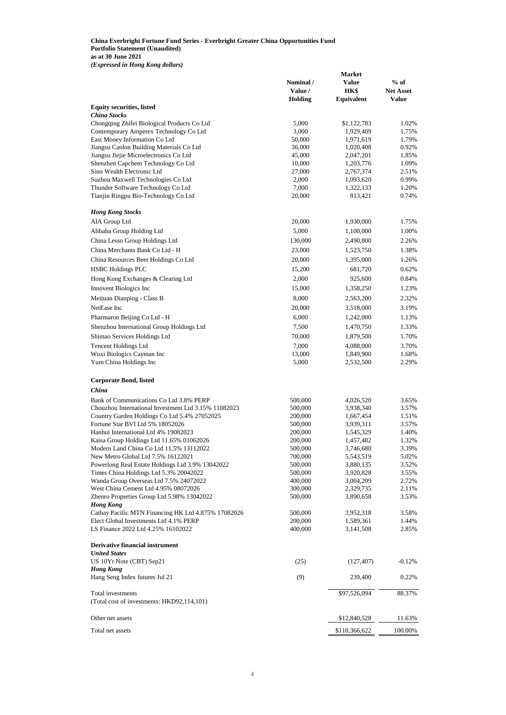**China Everbright Fortune Fund Series - Everbright Greater China Opportunities Fund Portfolio Statement (Unaudited) as at 30 June 2021** *(Expressed in Hong Kong dollars)*

**Market** 

|                                                      |                | Market        |                  |
|------------------------------------------------------|----------------|---------------|------------------|
|                                                      | Nominal /      | Value         | $%$ of           |
|                                                      | Value /        | HK\$          | <b>Net Asset</b> |
|                                                      | <b>Holding</b> | Equivalent    | <b>Value</b>     |
| <b>Equity securities, listed</b>                     |                |               |                  |
| <b>China Stocks</b>                                  |                |               |                  |
| Chongqing Zhifei Biological Products Co Ltd          | 5,000          | \$1,122,783   | 1.02%            |
| Contemporary Amperex Technology Co Ltd               | 3,000          | 1,929,409     | 1.75%            |
| East Money Information Co Ltd                        | 50,000         | 1,971,619     | 1.79%            |
| Jiangsu Canlon Building Materials Co Ltd             | 36,000         | 1,020,408     | 0.92%            |
| Jiangsu Jiejie Microelectronics Co Ltd               | 45,000         | 2,047,201     | 1.85%            |
| Shenzhen Capchem Technology Co Ltd                   | 10,000         | 1,203,776     | 1.09%            |
| Sino Wealth Electronic Ltd                           | 27,000         | 2,767,374     | 2.51%            |
| Suzhou Maxwell Technologies Co Ltd                   | 2,000          | 1,093,620     | 0.99%            |
| Thunder Software Technology Co Ltd                   | 7,000          | 1,322,133     | 1.20%            |
| Tianjin Ringpu Bio-Technology Co Ltd                 | 20,000         | 813,421       | 0.74%            |
| <b>Hong Kong Stocks</b>                              |                |               |                  |
| AIA Group Ltd                                        | 20,000         | 1,930,000     | 1.75%            |
| Alibaba Group Holding Ltd                            | 5,000          | 1,100,000     | 1.00%            |
| China Lesso Group Holdings Ltd                       | 130,000        | 2,490,800     | 2.26%            |
|                                                      |                |               |                  |
| China Merchants Bank Co Ltd - H                      | 23,000         | 1,523,750     | 1.38%            |
| China Resources Beer Holdings Co Ltd                 | 20,000         | 1,395,000     | 1.26%            |
| <b>HSBC Holdings PLC</b>                             | 15,200         | 681,720       | 0.62%            |
| Hong Kong Exchanges & Clearing Ltd                   | 2,000          | 925,600       | 0.84%            |
| Innovent Biologics Inc                               | 15,000         | 1,358,250     | 1.23%            |
| Meituan Dianping - Class B                           |                |               | 2.32%            |
|                                                      | 8,000          | 2,563,200     |                  |
| NetEase Inc                                          | 20,000         | 3,518,000     | 3.19%            |
| Pharmaron Beijing Co Ltd - H                         | 6,000          | 1,242,000     | 1.13%            |
| Shenzhou International Group Holdings Ltd            | 7,500          | 1,470,750     | 1.33%            |
| Shimao Services Holdings Ltd                         | 70,000         | 1,879,500     | 1.70%            |
| <b>Tencent Holdings Ltd</b>                          | 7,000          | 4,088,000     | 3.70%            |
| Wuxi Biologics Cayman Inc                            | 13,000         | 1,849,900     | 1.68%            |
| Yum China Holdings Inc                               | 5,000          | 2,532,500     | 2.29%            |
| Corporate Bond, listed                               |                |               |                  |
| China                                                |                |               |                  |
| Bank of Communications Co Ltd 3.8% PERP              | 500,000        | 4,026,520     | 3.65%            |
| Chouzhou International Investment Ltd 3.15% 11082023 | 500,000        | 3,938,340     | 3.57%            |
| Country Garden Holdings Co Ltd 5.4% 27052025         | 200,000        | 1,667,454     | 1.51%            |
| Fortune Star BVI Ltd 5% 18052026                     | 500,000        | 3,939,311     | 3.57%            |
| Hanhui International Ltd 4% 19082023                 | 200,000        | 1,545,329     | 1.40%            |
| Kaisa Group Holdings Ltd 11.65% 01062026             | 200,000        | 1,457,482     | 1.32%            |
| Modern Land China Co Ltd 11.5% 13112022              | 500,000        | 3,746,680     | 3.39%            |
| New Metro Global Ltd 7.5% 16122021                   | 700,000        | 5,543,519     | 5.02%            |
| Powerlong Real Estate Holdings Ltd 3.9% 13042022     | 500,000        | 3,880,135     | 3.52%            |
| Times China Holdings Ltd 5.3% 20042022               | 500,000        | 3,920,828     | 3.55%            |
| Wanda Group Overseas Ltd 7.5% 24072022               | 400,000        | 3,004,209     | 2.72%            |
| West China Cement Ltd 4.95% 08072026                 | 300,000        | 2,329,735     | 2.11%            |
| Zhenro Properties Group Ltd 5.98% 13042022           | 500,000        | 3,890,658     | 3.53%            |
| <b>Hong Kong</b>                                     |                |               |                  |
| Cathay Pacific MTN Financing HK Ltd 4.875% 17082026  | 500,000        | 3,952,318     | 3.58%            |
| Elect Global Investments Ltd 4.1% PERP               | 200,000        | 1,589,361     | 1.44%            |
| LS Finance 2022 Ltd 4.25% 16102022                   | 400,000        | 3,141,508     | 2.85%            |
| Derivative financial instrument                      |                |               |                  |
| <b>United States</b><br>US 10Yr Note (CBT) Sep21     |                |               |                  |
|                                                      | (25)           | (127, 407)    | $-0.12%$         |
| <b>Hong Kong</b><br>Hang Seng Index futures Jul 21   | (9)            | 239,400       | 0.22%            |
| Total investments                                    |                | \$97,526,094  | 88.37%           |
| (Total cost of investments: HKD92,114,101)           |                |               |                  |
| Other net assets                                     |                | \$12,840,528  | 11.63%           |
|                                                      |                |               |                  |
| Total net assets                                     |                | \$110,366,622 | 100.00%          |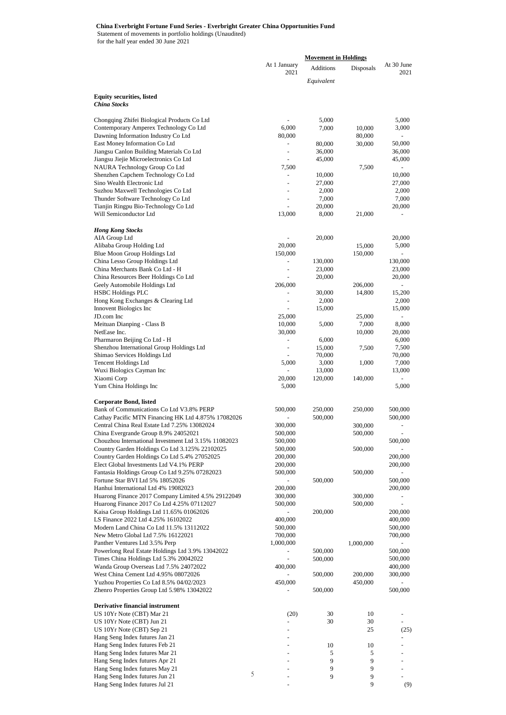#### **China Everbright Fortune Fund Series - Everbright Greater China Opportunities Fund**

Statement of movements in portfolio holdings (Unaudited)

for the half year ended 30 June 2021

|                                                                                              |                          | <b>Movement in Holdings</b> |                 |                          |
|----------------------------------------------------------------------------------------------|--------------------------|-----------------------------|-----------------|--------------------------|
|                                                                                              | At 1 January<br>2021     | Additions                   | Disposals       | At 30 June<br>2021       |
|                                                                                              |                          | Equivalent                  |                 |                          |
| <b>Equity securities, listed</b>                                                             |                          |                             |                 |                          |
| <b>China Stocks</b>                                                                          |                          |                             |                 |                          |
| Chongqing Zhifei Biological Products Co Ltd                                                  |                          | 5,000                       |                 | 5,000                    |
| Contemporary Amperex Technology Co Ltd                                                       | 6,000                    | 7,000                       | 10,000          | 3,000                    |
| Dawning Information Industry Co Ltd                                                          | 80,000                   |                             | 80,000          | $\overline{a}$           |
| East Money Information Co Ltd                                                                | $\overline{\phantom{a}}$ | 80,000                      | 30,000          | 50,000                   |
| Jiangsu Canlon Building Materials Co Ltd                                                     |                          | 36,000<br>45,000            |                 | 36,000<br>45,000         |
| Jiangsu Jiejie Microelectronics Co Ltd<br>NAURA Technology Group Co Ltd                      | 7,500                    |                             | 7,500           |                          |
| Shenzhen Capchem Technology Co Ltd                                                           | $\overline{\phantom{0}}$ | 10,000                      |                 | 10,000                   |
| Sino Wealth Electronic Ltd                                                                   |                          | 27,000                      |                 | 27,000                   |
| Suzhou Maxwell Technologies Co Ltd                                                           | $\tilde{\phantom{a}}$    | 2,000                       |                 | 2,000                    |
| Thunder Software Technology Co Ltd<br>Tianjin Ringpu Bio-Technology Co Ltd                   | ٠                        | 7,000<br>20,000             |                 | 7,000<br>20,000          |
| Will Semiconductor Ltd                                                                       | 13,000                   | 8,000                       | 21,000          |                          |
|                                                                                              |                          |                             |                 |                          |
| <b>Hong Kong Stocks</b><br>AIA Group Ltd                                                     |                          | 20,000                      |                 | 20,000                   |
| Alibaba Group Holding Ltd                                                                    | 20,000                   |                             | 15,000          | 5,000                    |
| Blue Moon Group Holdings Ltd                                                                 | 150,000                  |                             | 150,000         |                          |
| China Lesso Group Holdings Ltd                                                               |                          | 130,000                     |                 | 130,000                  |
| China Merchants Bank Co Ltd - H<br>China Resources Beer Holdings Co Ltd                      |                          | 23,000<br>20,000            |                 | 23,000<br>20,000         |
| Geely Automobile Holdings Ltd                                                                | 206,000                  |                             | 206,000         |                          |
| <b>HSBC Holdings PLC</b>                                                                     | $\overline{a}$           | 30,000                      | 14,800          | 15,200                   |
| Hong Kong Exchanges & Clearing Ltd                                                           | ÷,                       | 2,000                       |                 | 2,000                    |
| Innovent Biologics Inc                                                                       |                          | 15,000                      |                 | 15,000                   |
| JD.com Inc                                                                                   | 25,000                   | 5,000                       | 25,000          |                          |
| Meituan Dianping - Class B<br>NetEase Inc.                                                   | 10,000<br>30,000         |                             | 7,000<br>10,000 | 8,000<br>20,000          |
| Pharmaron Beijing Co Ltd - H                                                                 | ÷,                       | 6,000                       |                 | 6,000                    |
| Shenzhou International Group Holdings Ltd                                                    | $\overline{a}$           | 15,000                      | 7,500           | 7,500                    |
| Shimao Services Holdings Ltd                                                                 |                          | 70,000                      |                 | 70,000                   |
| <b>Tencent Holdings Ltd</b><br>Wuxi Biologics Cayman Inc                                     | 5,000                    | 3,000<br>13,000             | 1,000           | 7,000<br>13,000          |
| Xiaomi Corp                                                                                  | 20,000                   | 120,000                     | 140,000         |                          |
| Yum China Holdings Inc                                                                       | 5,000                    |                             |                 | 5,000                    |
| <b>Corporate Bond, listed</b>                                                                |                          |                             |                 |                          |
| Bank of Communications Co Ltd V3.8% PERP                                                     | 500,000                  | 250,000                     | 250,000         | 500,000                  |
| Cathay Pacific MTN Financing HK Ltd 4.875% 17082026                                          |                          | 500,000                     |                 | 500,000                  |
| Central China Real Estate Ltd 7.25% 13082024                                                 | 300,000                  |                             | 300,000         | $\overline{\phantom{a}}$ |
| China Evergrande Group 8.9% 24052021<br>Chouzhou International Investment Ltd 3.15% 11082023 | 500,000<br>500,000       |                             | 500,000         | 500,000                  |
| Country Garden Holdings Co Ltd 3.125% 22102025                                               | 500,000                  |                             | 500,000         |                          |
| Country Garden Holdings Co Ltd 5.4% 27052025                                                 | 200,000                  |                             |                 | 200,000                  |
| Elect Global Investments Ltd V4.1% PERP                                                      | 200,000                  |                             |                 | 200,000                  |
| Fantasia Holdings Group Co Ltd 9.25% 07282023<br>Fortune Star BVI Ltd 5% 18052026            | 500,000                  | 500,000                     | 500,000         |                          |
| Hanhui International Ltd 4% 19082023                                                         | 200,000                  |                             |                 | 500,000<br>200,000       |
| Huarong Finance 2017 Company Limited 4.5% 29122049                                           | 300,000                  |                             | 300,000         |                          |
| Huarong Finance 2017 Co Ltd 4.25% 07112027                                                   | 500,000                  |                             | 500,000         |                          |
| Kaisa Group Holdings Ltd 11.65% 01062026                                                     |                          | 200,000                     |                 | 200,000                  |
| LS Finance 2022 Ltd 4.25% 16102022<br>Modern Land China Co Ltd 11.5% 13112022                | 400,000<br>500,000       |                             |                 | 400,000<br>500,000       |
| New Metro Global Ltd 7.5% 16122021                                                           | 700,000                  |                             |                 | 700,000                  |
| Panther Ventures Ltd 3.5% Perp                                                               | 1,000,000                |                             | 1,000,000       |                          |
| Powerlong Real Estate Holdings Ltd 3.9% 13042022                                             |                          | 500,000                     |                 | 500,000                  |
| Times China Holdings Ltd 5.3% 20042022                                                       |                          | 500,000                     |                 | 500,000                  |
| Wanda Group Overseas Ltd 7.5% 24072022<br>West China Cement Ltd 4.95% 08072026               | 400,000                  |                             | 200,000         | 400,000                  |
| Yuzhou Properties Co Ltd 8.5% 04/02/2023                                                     | 450,000                  | 500,000                     | 450,000         | 300,000                  |
| Zhenro Properties Group Ltd 5.98% 13042022                                                   |                          | 500,000                     |                 | 500,000                  |
| <b>Derivative financial instrument</b>                                                       |                          |                             |                 |                          |
| US 10Yr Note (CBT) Mar 21                                                                    | (20)                     | 30                          | 10              |                          |
| US 10Yr Note (CBT) Jun 21                                                                    |                          | 30                          | 30              |                          |
| US 10Yr Note (CBT) Sep 21                                                                    |                          |                             | 25              | (25)                     |
| Hang Seng Index futures Jan 21<br>Hang Seng Index futures Feb 21                             |                          | 10                          | 10              |                          |
| Hang Seng Index futures Mar 21                                                               |                          | 5                           | 5               |                          |
| Hang Seng Index futures Apr 21                                                               |                          | 9                           | 9               |                          |
| Hang Seng Index futures May 21                                                               |                          | 9                           | 9               |                          |
| $\sqrt{5}$<br>Hang Seng Index futures Jun 21                                                 |                          | 9                           | 9               |                          |
| Hang Seng Index futures Jul 21                                                               |                          |                             | 9               | (9)                      |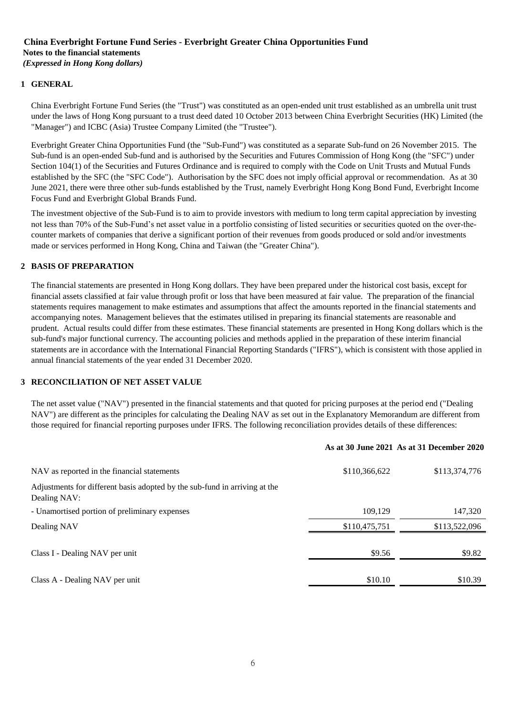#### **China Everbright Fortune Fund Series - Everbright Greater China Opportunities Fund Notes to the financial statements**  *(Expressed in Hong Kong dollars)*

### **1 GENERAL**

China Everbright Fortune Fund Series (the "Trust") was constituted as an open-ended unit trust established as an umbrella unit trust under the laws of Hong Kong pursuant to a trust deed dated 10 October 2013 between China Everbright Securities (HK) Limited (the "Manager") and ICBC (Asia) Trustee Company Limited (the "Trustee").

Everbright Greater China Opportunities Fund (the "Sub-Fund") was constituted as a separate Sub-fund on 26 November 2015. The Sub-fund is an open-ended Sub-fund and is authorised by the Securities and Futures Commission of Hong Kong (the "SFC") under Section 104(1) of the Securities and Futures Ordinance and is required to comply with the Code on Unit Trusts and Mutual Funds established by the SFC (the "SFC Code"). Authorisation by the SFC does not imply official approval or recommendation. As at 30 June 2021, there were three other sub-funds established by the Trust, namely Everbright Hong Kong Bond Fund, Everbright Income Focus Fund and Everbright Global Brands Fund.

The investment objective of the Sub-Fund is to aim to provide investors with medium to long term capital appreciation by investing not less than 70% of the Sub-Fund's net asset value in a portfolio consisting of listed securities or securities quoted on the over-thecounter markets of companies that derive a significant portion of their revenues from goods produced or sold and/or investments made or services performed in Hong Kong, China and Taiwan (the "Greater China").

#### **2 BASIS OF PREPARATION**

The financial statements are presented in Hong Kong dollars. They have been prepared under the historical cost basis, except for financial assets classified at fair value through profit or loss that have been measured at fair value. The preparation of the financial statements requires management to make estimates and assumptions that affect the amounts reported in the financial statements and accompanying notes. Management believes that the estimates utilised in preparing its financial statements are reasonable and prudent. Actual results could differ from these estimates. These financial statements are presented in Hong Kong dollars which is the sub-fund's major functional currency. The accounting policies and methods applied in the preparation of these interim financial statements are in accordance with the International Financial Reporting Standards ("IFRS"), which is consistent with those applied in annual financial statements of the year ended 31 December 2020.

#### **3 RECONCILIATION OF NET ASSET VALUE**

The net asset value ("NAV") presented in the financial statements and that quoted for pricing purposes at the period end ("Dealing NAV") are different as the principles for calculating the Dealing NAV as set out in the Explanatory Memorandum are different from those required for financial reporting purposes under IFRS. The following reconciliation provides details of these differences:

#### **As at 30 June 2021 As at 31 December 2020**

| NAV as reported in the financial statements                                                | \$110,366,622 | \$113,374,776 |
|--------------------------------------------------------------------------------------------|---------------|---------------|
| Adjustments for different basis adopted by the sub-fund in arriving at the<br>Dealing NAV: |               |               |
| - Unamortised portion of preliminary expenses                                              | 109,129       | 147,320       |
| Dealing NAV                                                                                | \$110,475,751 | \$113,522,096 |
| Class I - Dealing NAV per unit                                                             | \$9.56        | \$9.82        |
| Class A - Dealing NAV per unit                                                             | \$10.10       | \$10.39       |